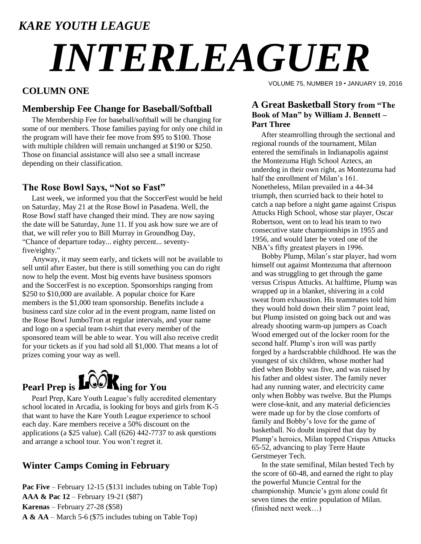### *KARE YOUTH LEAGUE*

# *INTERLEAGUER*

#### **COLUMN ONE**

#### **Membership Fee Change for Baseball/Softball**

 The Membership Fee for baseball/softball will be changing for some of our members. Those families paying for only one child in the program will have their fee move from \$95 to \$100. Those with multiple children will remain unchanged at \$190 or \$250. Those on financial assistance will also see a small increase depending on their classification.

#### **The Rose Bowl Says, "Not so Fast"**

 Last week, we informed you that the SoccerFest would be held on Saturday, May 21 at the Rose Bowl in Pasadena. Well, the Rose Bowl staff have changed their mind. They are now saying the date will be Saturday, June 11. If you ask how sure we are of that, we will refer you to Bill Murray in Groundhog Day, "Chance of departure today... eighty percent... seventyfive/eighty."

Anyway, it may seem early, and tickets will not be available to sell until after Easter, but there is still something you can do right now to help the event. Most big events have business sponsors and the SoccerFest is no exception. Sponsorships ranging from \$250 to \$10,000 are available. A popular choice for Kare members is the \$1,000 team sponsorship. Benefits include a business card size color ad in the event program, name listed on the Rose Bowl JumboTron at regular intervals, and your name and logo on a special team t-shirt that every member of the sponsored team will be able to wear. You will also receive credit for your tickets as if you had sold all \$1,000. That means a lot of prizes coming your way as well.



 Pearl Prep, Kare Youth League's fully accredited elementary school located in Arcadia, is looking for boys and girls from K-5 that want to have the Kare Youth League experience to school each day. Kare members receive a 50% discount on the applications (a \$25 value). Call (626) 442-7737 to ask questions and arrange a school tour. You won't regret it.

#### **Winter Camps Coming in February**

Pac Five – February 12-15 (\$131 includes tubing on Table Top) **AAA & Pac 12** – February 19-21 (\$87) **Karenas** – February 27-28 (\$58) **A & AA** – March 5-6 (\$75 includes tubing on Table Top)

VOLUME 75, NUMBER 19 • JANUARY 19, 2016

#### **A Great Basketball Story from "The Book of Man" by William J. Bennett – Part Three**

 After steamrolling through the sectional and regional rounds of the tournament, Milan entered the semifinals in Indianapolis against the Montezuma High School Aztecs, an underdog in their own right, as Montezuma had half the enrollment of Milan's 161. Nonetheless, Milan prevailed in a 44-34 triumph, then scurried back to their hotel to catch a nap before a night game against Crispus Attucks High School, whose star player, Oscar Robertson, went on to lead his team to two consecutive state championships in 1955 and 1956, and would later be voted one of the NBA's fifty greatest players in 1996.

Bobby Plump, Milan's star player, had worn himself out against Montezuma that afternoon and was struggling to get through the game versus Crispus Attucks. At halftime, Plump was wrapped up in a blanket, shivering in a cold sweat from exhaustion. His teammates told him they would hold down their slim 7 point lead, but Plump insisted on going back out and was already shooting warm-up jumpers as Coach Wood emerged out of the locker room for the second half. Plump's iron will was partly forged by a hardscrabble childhood. He was the youngest of six children, whose mother had died when Bobby was five, and was raised by his father and oldest sister. The family never had any running water, and electricity came only when Bobby was twelve. But the Plumps were close-knit, and any material deficiencies were made up for by the close comforts of family and Bobby's love for the game of basketball. No doubt inspired that day by Plump's heroics, Milan topped Crispus Attucks 65-52, advancing to play Terre Haute Gerstmeyer Tech.

In the state semifinal, Milan bested Tech by the score of 60-48, and earned the right to play the powerful Muncie Central for the championship. Muncie's gym alone could fit seven times the entire population of Milan. (finished next week…)